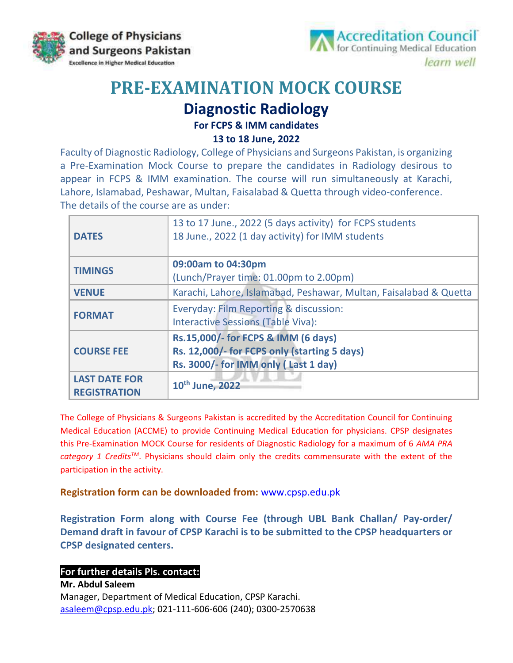



# **PRE-EXAMINATION MOCK COURSE**

### **Diagnostic Radiology**

#### **For FCPS & IMM candidates**

**13 to 18 June, 2022**

Faculty of Diagnostic Radiology, College of Physicians and Surgeons Pakistan, is organizing a Pre-Examination Mock Course to prepare the candidates in Radiology desirous to appear in FCPS & IMM examination. The course will run simultaneously at Karachi, Lahore, Islamabad, Peshawar, Multan, Faisalabad & Quetta through video-conference. The details of the course are as under:

| <b>DATES</b>         | 13 to 17 June., 2022 (5 days activity) for FCPS students<br>18 June., 2022 (1 day activity) for IMM students |  |  |  |
|----------------------|--------------------------------------------------------------------------------------------------------------|--|--|--|
| <b>TIMINGS</b>       | 09:00am to 04:30pm                                                                                           |  |  |  |
|                      | (Lunch/Prayer time: 01.00pm to 2.00pm)                                                                       |  |  |  |
| <b>VENUE</b>         | Karachi, Lahore, Islamabad, Peshawar, Multan, Faisalabad & Quetta                                            |  |  |  |
| <b>FORMAT</b>        | Everyday: Film Reporting & discussion:                                                                       |  |  |  |
|                      | <b>Interactive Sessions (Table Viva):</b>                                                                    |  |  |  |
| <b>COURSE FEE</b>    | Rs.15,000/- for FCPS & IMM (6 days)                                                                          |  |  |  |
|                      | Rs. 12,000/- for FCPS only (starting 5 days)                                                                 |  |  |  |
|                      | Rs. 3000/- for IMM only (Last 1 day)                                                                         |  |  |  |
| <b>LAST DATE FOR</b> | 10 <sup>th</sup> June, 2022                                                                                  |  |  |  |
| <b>REGISTRATION</b>  |                                                                                                              |  |  |  |

The College of Physicians & Surgeons Pakistan is accredited by the Accreditation Council for Continuing Medical Education (ACCME) to provide Continuing Medical Education for physicians. CPSP designates this Pre-Examination MOCK Course for residents of Diagnostic Radiology for a maximum of 6 *AMA PRA category 1 CreditsTM*. Physicians should claim only the credits commensurate with the extent of the participation in the activity.

#### **Registration form can be downloaded from:** [www.cpsp.edu.pk](http://www.cpsp.edu.pk/)

**Registration Form along with Course Fee (through UBL Bank Challan/ Pay-order/ Demand draft in favour of CPSP Karachi is to be submitted to the CPSP headquarters or CPSP designated centers.**

#### **For further details Pls. contact:**

**Mr. Abdul Saleem** Manager, Department of Medical Education, CPSP Karachi. [asaleem@cpsp.edu.pk;](mailto:asaleem@cpsp.edu.pk) 021-111-606-606 (240); 0300-2570638